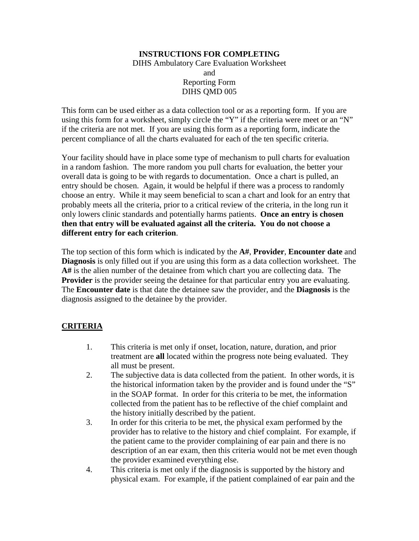## **INSTRUCTIONS FOR COMPLETING**  DIHS Ambulatory Care Evaluation Worksheet and Reporting Form DIHS QMD 005

This form can be used either as a data collection tool or as a reporting form. If you are using this form for a worksheet, simply circle the "Y" if the criteria were meet or an "N" if the criteria are not met. If you are using this form as a reporting form, indicate the percent compliance of all the charts evaluated for each of the ten specific criteria.

Your facility should have in place some type of mechanism to pull charts for evaluation in a random fashion. The more random you pull charts for evaluation, the better your overall data is going to be with regards to documentation. Once a chart is pulled, an entry should be chosen. Again, it would be helpful if there was a process to randomly choose an entry. While it may seem beneficial to scan a chart and look for an entry that probably meets all the criteria, prior to a critical review of the criteria, in the long run it only lowers clinic standards and potentially harms patients. **Once an entry is chosen then that entry will be evaluated against all the criteria. You do not choose a different entry for each criterion**.

The top section of this form which is indicated by the **A#**, **Provider**, **Encounter date** and **Diagnosis** is only filled out if you are using this form as a data collection worksheet. The **A#** is the alien number of the detainee from which chart you are collecting data. The **Provider** is the provider seeing the detainee for that particular entry you are evaluating. The **Encounter date** is that date the detainee saw the provider, and the **Diagnosis** is the diagnosis assigned to the detainee by the provider.

## **CRITERIA**

- 1. This criteria is met only if onset, location, nature, duration, and prior treatment are **all** located within the progress note being evaluated. They all must be present.
- 2. The subjective data is data collected from the patient. In other words, it is the historical information taken by the provider and is found under the "S" in the SOAP format. In order for this criteria to be met, the information collected from the patient has to be reflective of the chief complaint and the history initially described by the patient.
- 3. In order for this criteria to be met, the physical exam performed by the provider has to relative to the history and chief complaint. For example, if the patient came to the provider complaining of ear pain and there is no description of an ear exam, then this criteria would not be met even though the provider examined everything else.
- 4. This criteria is met only if the diagnosis is supported by the history and physical exam. For example, if the patient complained of ear pain and the